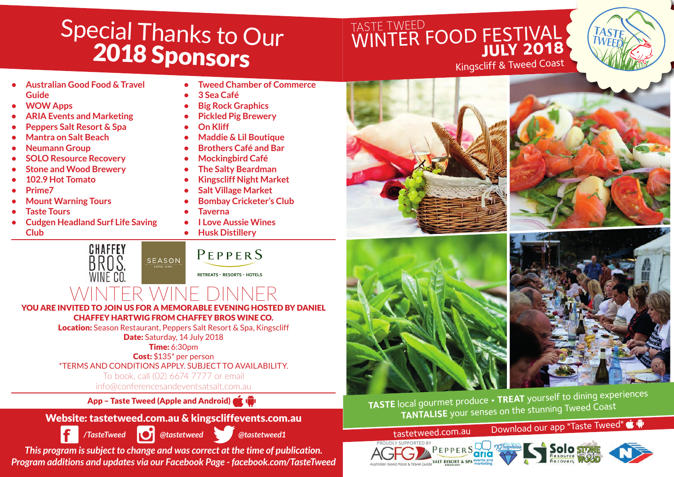# Special Thanks to Our

## TASTE TWEED WINTER FOOD FESTIVAL **JULY 2018** Kingscliff & Tweed Coast



- **• Australian Good Food & Travel Guide**
- **• WOW Apps**
- **• ARIA Events and Marketing**
- **• Peppers Salt Resort & Spa**
- **• Mantra on Salt Beach**
- **• Neumann Group**
- **• SOLO Resource Recovery**
- **• Stone and Wood Brewery**
- **• 102.9 Hot Tomato**
- **• Prime7**
- **• Mount Warning Tours**
- **• Taste Tours**
- **• Cudgen Headland Surf Life Saving Club**

CHAFFEY

**BROS** 

WINF CO

- **• Tweed Chamber of Commerce**
- **• 3 Sea Café**
- **• Big Rock Graphics**
- **• Pickled Pig Brewery**
- **• On Kliff**
- **• Maddie & Lil Boutique**
- **• Brothers Café and Bar**
- **• Mockingbird Café**
- **• The Salty Beardman**
- **• Kingscliff Night Market**
- **• Salt Village Market**
- **• Bombay Cricketer's Club**
- **• Taverna**
- **• I Love Aussie Wines**
- **• Husk Distillery**

PEPPERS

RETREATS · RESORTS · HOTELS

### WINE DINN

SEASON

YOU ARE INVITED TO JOIN US FOR A MEMORABLE EVENING HOSTED BY DANIEL CHAFFEY HARTWIG FROM CHAFFEY BROS WINE CO.

Location: Season Restaurant, Peppers Salt Resort & Spa, Kingscliff

Date: Saturday, 14 July 2018

**Time: 6:30pm** 

Cost: \$135\* per person \*TERMS AND CONDITIONS APPLY. SUBJECT TO AVAILABILITY.

To book, call (02) 6674 7777 or email

info@conferencesandeventsatsalt.com.au

App - Taste Tweed (Apple and Android)

#### */TasteTweed @tastetweed @tastetweed1* tastetweed.com.au Download our app "Taste Tweed" Website: tastetweed.com.au & kingscliffevents.com.au





*This program is subject to change and was correct at the time of publication. Program additions and updates via our Facebook Page - facebook.com/TasteTweed*





![](_page_0_Picture_50.jpeg)

**TASTE** local gourmet produce **• TREAT** yourself to dining experiences **TANTALISE** your senses on the stunning Tweed Coast

![](_page_0_Picture_54.jpeg)

![](_page_0_Picture_55.jpeg)

![](_page_0_Picture_56.jpeg)